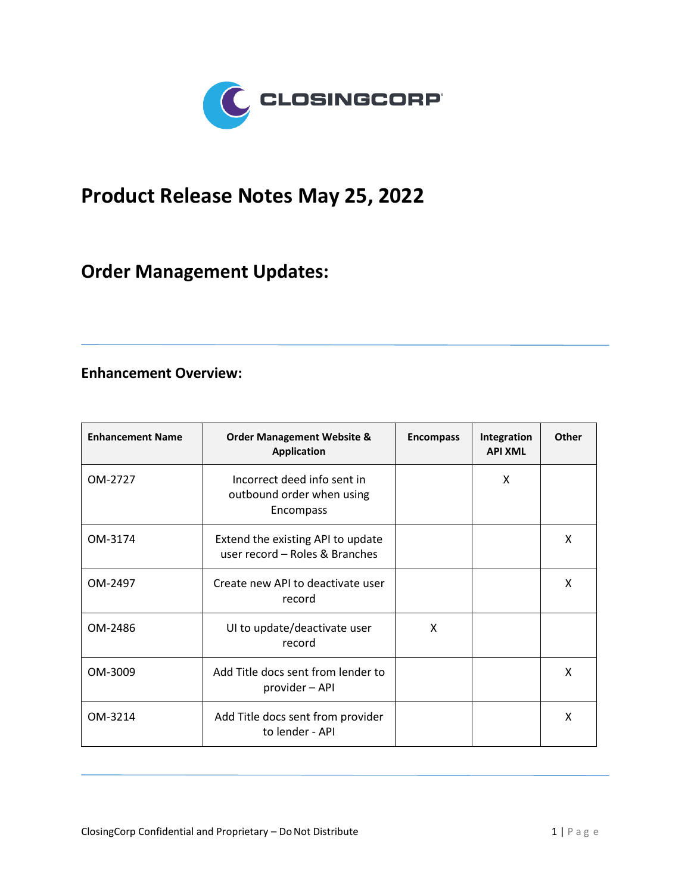

## **Product Release Notes May 25, 2022**

## **Order Management Updates:**

## **Enhancement Overview:**

| <b>Enhancement Name</b> | <b>Order Management Website &amp;</b><br><b>Application</b>           | <b>Encompass</b> | Integration<br><b>API XML</b> | <b>Other</b> |
|-------------------------|-----------------------------------------------------------------------|------------------|-------------------------------|--------------|
| OM-2727                 | Incorrect deed info sent in<br>outbound order when using<br>Encompass |                  | X                             |              |
| OM-3174                 | Extend the existing API to update<br>user record - Roles & Branches   |                  |                               | X            |
| OM-2497                 | Create new API to deactivate user<br>record                           |                  |                               | X            |
| OM-2486                 | UI to update/deactivate user<br>record                                | X                |                               |              |
| OM-3009                 | Add Title docs sent from lender to<br>provider - API                  |                  |                               | X            |
| OM-3214                 | Add Title docs sent from provider<br>to lender - API                  |                  |                               | X            |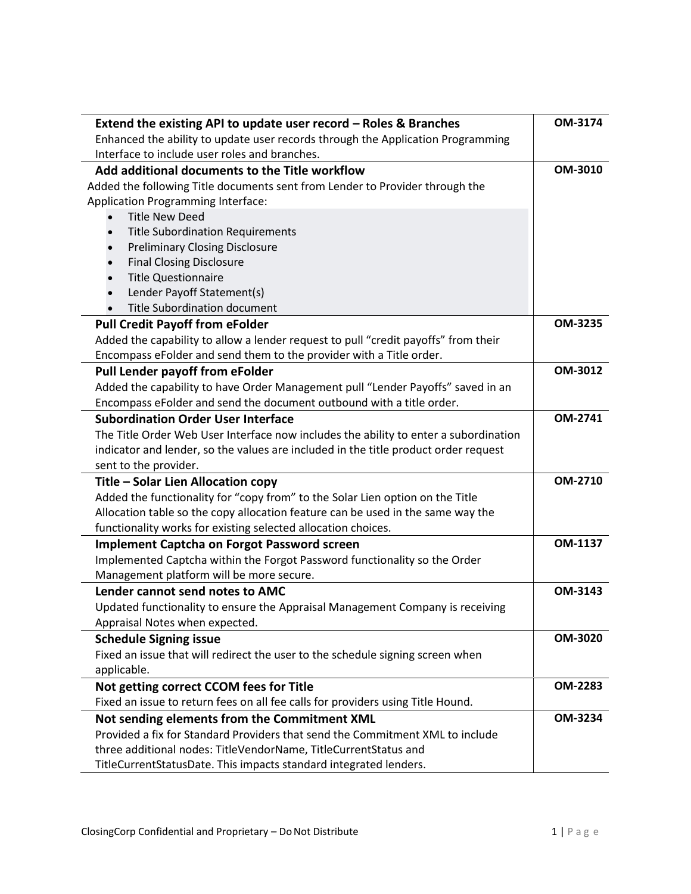| Extend the existing API to update user record - Roles & Branches                     | OM-3174        |  |
|--------------------------------------------------------------------------------------|----------------|--|
| Enhanced the ability to update user records through the Application Programming      |                |  |
| Interface to include user roles and branches.                                        | OM-3010        |  |
| Add additional documents to the Title workflow                                       |                |  |
| Added the following Title documents sent from Lender to Provider through the         |                |  |
| <b>Application Programming Interface:</b>                                            |                |  |
| <b>Title New Deed</b>                                                                |                |  |
| <b>Title Subordination Requirements</b><br>$\bullet$                                 |                |  |
| <b>Preliminary Closing Disclosure</b>                                                |                |  |
| <b>Final Closing Disclosure</b>                                                      |                |  |
| <b>Title Questionnaire</b>                                                           |                |  |
| Lender Payoff Statement(s)                                                           |                |  |
| <b>Title Subordination document</b>                                                  |                |  |
| <b>Pull Credit Payoff from eFolder</b>                                               | OM-3235        |  |
| Added the capability to allow a lender request to pull "credit payoffs" from their   |                |  |
| Encompass eFolder and send them to the provider with a Title order.                  |                |  |
| Pull Lender payoff from eFolder                                                      | OM-3012        |  |
| Added the capability to have Order Management pull "Lender Payoffs" saved in an      |                |  |
| Encompass eFolder and send the document outbound with a title order.                 |                |  |
| <b>Subordination Order User Interface</b>                                            |                |  |
| The Title Order Web User Interface now includes the ability to enter a subordination |                |  |
| indicator and lender, so the values are included in the title product order request  |                |  |
| sent to the provider.                                                                |                |  |
| Title - Solar Lien Allocation copy                                                   | OM-2710        |  |
| Added the functionality for "copy from" to the Solar Lien option on the Title        |                |  |
| Allocation table so the copy allocation feature can be used in the same way the      |                |  |
| functionality works for existing selected allocation choices.                        |                |  |
| <b>Implement Captcha on Forgot Password screen</b>                                   | OM-1137        |  |
| Implemented Captcha within the Forgot Password functionality so the Order            |                |  |
| Management platform will be more secure.                                             |                |  |
| Lender cannot send notes to AMC                                                      | OM-3143        |  |
|                                                                                      |                |  |
| Updated functionality to ensure the Appraisal Management Company is receiving        |                |  |
| Appraisal Notes when expected.                                                       | OM-3020        |  |
| <b>Schedule Signing issue</b>                                                        |                |  |
| Fixed an issue that will redirect the user to the schedule signing screen when       |                |  |
| applicable.                                                                          | <b>OM-2283</b> |  |
| Not getting correct CCOM fees for Title                                              |                |  |
| Fixed an issue to return fees on all fee calls for providers using Title Hound.      | OM-3234        |  |
| Not sending elements from the Commitment XML                                         |                |  |
| Provided a fix for Standard Providers that send the Commitment XML to include        |                |  |
| three additional nodes: TitleVendorName, TitleCurrentStatus and                      |                |  |
| TitleCurrentStatusDate. This impacts standard integrated lenders.                    |                |  |